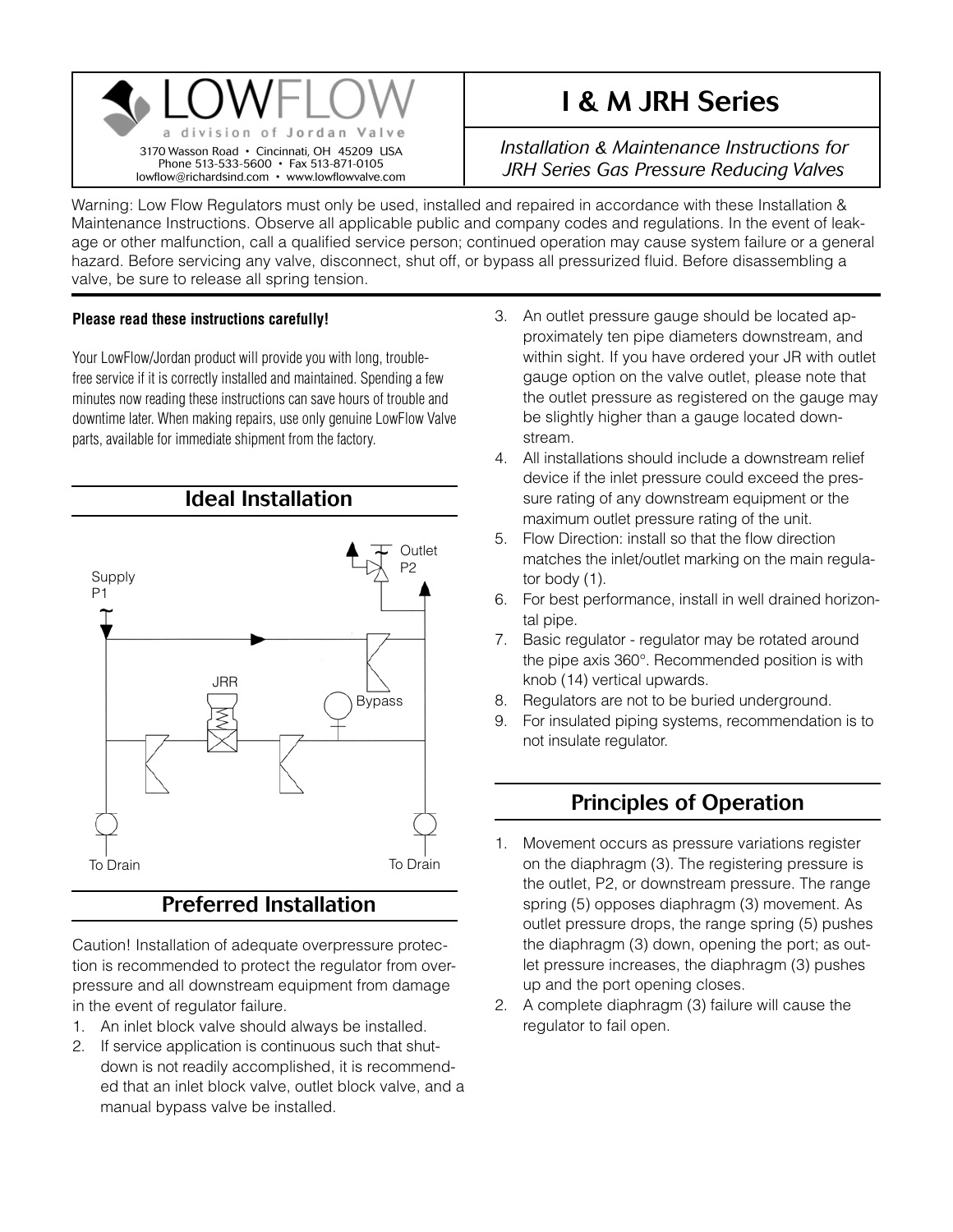

# I & M JRH Series

*Installation & Maintenance Instructions for JRH Series Gas Pressure Reducing Valves*

Warning: Low Flow Regulators must only be used, installed and repaired in accordance with these Installation & Maintenance Instructions. Observe all applicable public and company codes and regulations. In the event of leakage or other malfunction, call a qualified service person; continued operation may cause system failure or a general hazard. Before servicing any valve, disconnect, shut off, or bypass all pressurized fluid. Before disassembling a valve, be sure to release all spring tension.

#### **Please read these instructions carefully!**

Your LowFlow/Jordan product will provide you with long, troublefree service if it is correctly installed and maintained. Spending a few minutes now reading these instructions can save hours of trouble and downtime later. When making repairs, use only genuine LowFlow Valve parts, available for immediate shipment from the factory.



## Preferred Installation

Caution! Installation of adequate overpressure protection is recommended to protect the regulator from overpressure and all downstream equipment from damage in the event of regulator failure.

- 1. An inlet block valve should always be installed.
- 2. If service application is continuous such that shutdown is not readily accomplished, it is recommended that an inlet block valve, outlet block valve, and a manual bypass valve be installed.
- 3. An outlet pressure gauge should be located approximately ten pipe diameters downstream, and within sight. If you have ordered your JR with outlet gauge option on the valve outlet, please note that the outlet pressure as registered on the gauge may be slightly higher than a gauge located downstream.
- 4. All installations should include a downstream relief device if the inlet pressure could exceed the pressure rating of any downstream equipment or the maximum outlet pressure rating of the unit.
- 5. Flow Direction: install so that the flow direction matches the inlet/outlet marking on the main regulator body (1).
- 6. For best performance, install in well drained horizontal pipe.
- 7. Basic regulator regulator may be rotated around the pipe axis 360°. Recommended position is with knob (14) vertical upwards.
- 8. Regulators are not to be buried underground.
- 9. For insulated piping systems, recommendation is to not insulate regulator.

### Principles of Operation

- 1. Movement occurs as pressure variations register on the diaphragm (3). The registering pressure is the outlet, P2, or downstream pressure. The range spring (5) opposes diaphragm (3) movement. As outlet pressure drops, the range spring (5) pushes the diaphragm (3) down, opening the port; as outlet pressure increases, the diaphragm (3) pushes up and the port opening closes.
- 2. A complete diaphragm (3) failure will cause the regulator to fail open.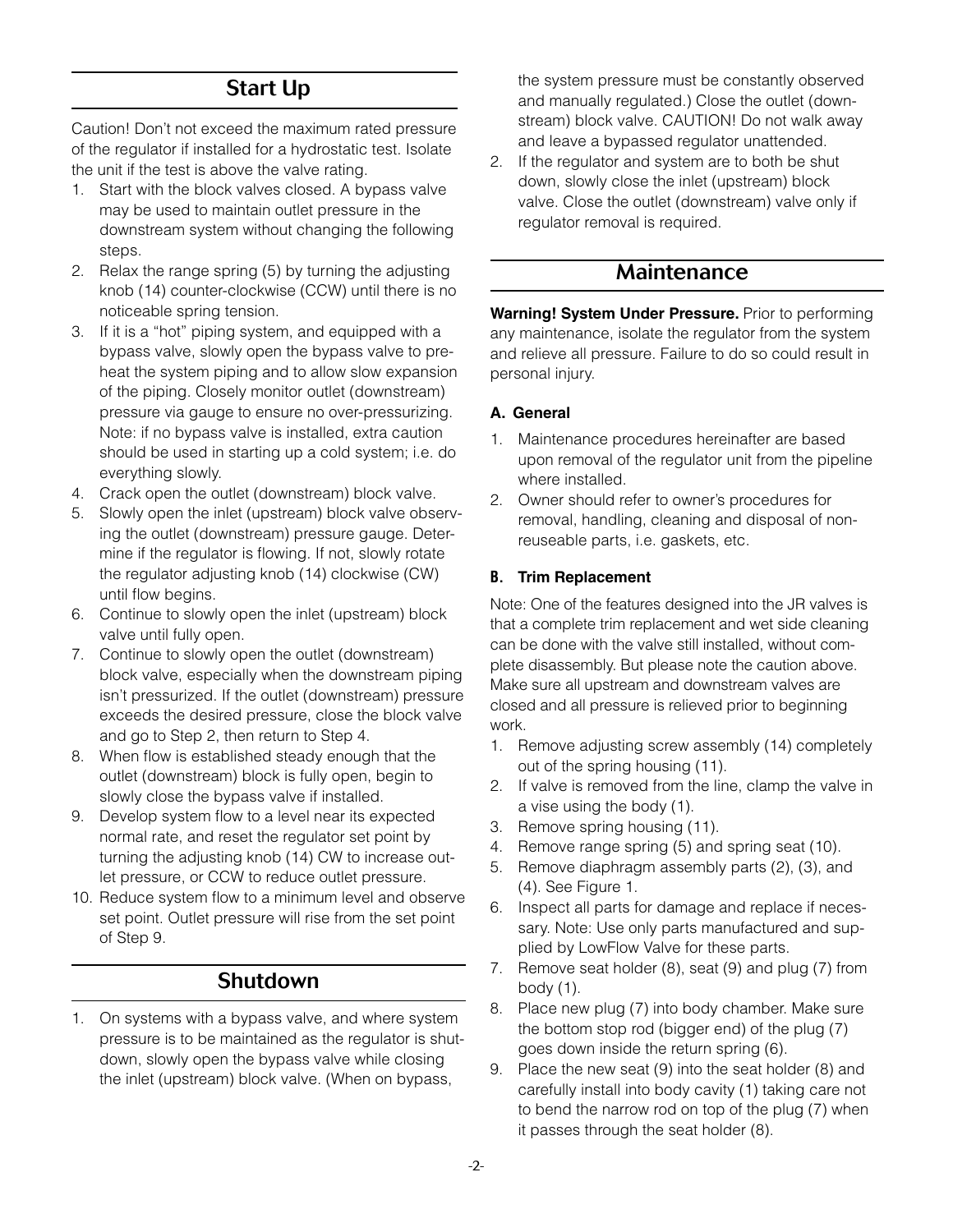### Start Up

Caution! Don't not exceed the maximum rated pressure of the regulator if installed for a hydrostatic test. Isolate the unit if the test is above the valve rating.

- 1. Start with the block valves closed. A bypass valve may be used to maintain outlet pressure in the downstream system without changing the following steps.
- 2. Relax the range spring (5) by turning the adjusting knob (14) counter-clockwise (CCW) until there is no noticeable spring tension.
- 3. If it is a "hot" piping system, and equipped with a bypass valve, slowly open the bypass valve to preheat the system piping and to allow slow expansion of the piping. Closely monitor outlet (downstream) pressure via gauge to ensure no over-pressurizing. Note: if no bypass valve is installed, extra caution should be used in starting up a cold system; i.e. do everything slowly.
- 4. Crack open the outlet (downstream) block valve.
- 5. Slowly open the inlet (upstream) block valve observing the outlet (downstream) pressure gauge. Determine if the regulator is flowing. If not, slowly rotate the regulator adjusting knob (14) clockwise (CW) until flow begins.
- 6. Continue to slowly open the inlet (upstream) block valve until fully open.
- 7. Continue to slowly open the outlet (downstream) block valve, especially when the downstream piping isn't pressurized. If the outlet (downstream) pressure exceeds the desired pressure, close the block valve and go to Step 2, then return to Step 4.
- 8. When flow is established steady enough that the outlet (downstream) block is fully open, begin to slowly close the bypass valve if installed.
- 9. Develop system flow to a level near its expected normal rate, and reset the regulator set point by turning the adjusting knob (14) CW to increase outlet pressure, or CCW to reduce outlet pressure.
- 10. Reduce system flow to a minimum level and observe set point. Outlet pressure will rise from the set point of Step 9.

### **Shutdown**

1. On systems with a bypass valve, and where system pressure is to be maintained as the regulator is shutdown, slowly open the bypass valve while closing the inlet (upstream) block valve. (When on bypass,

the system pressure must be constantly observed and manually regulated.) Close the outlet (downstream) block valve. CAUTION! Do not walk away and leave a bypassed regulator unattended.

2. If the regulator and system are to both be shut down, slowly close the inlet (upstream) block valve. Close the outlet (downstream) valve only if regulator removal is required.

### Maintenance

**Warning! System Under Pressure.** Prior to performing any maintenance, isolate the regulator from the system and relieve all pressure. Failure to do so could result in personal injury.

#### **A. General**

- 1. Maintenance procedures hereinafter are based upon removal of the regulator unit from the pipeline where installed.
- 2. Owner should refer to owner's procedures for removal, handling, cleaning and disposal of nonreuseable parts, i.e. gaskets, etc.

#### **B. Trim Replacement**

Note: One of the features designed into the JR valves is that a complete trim replacement and wet side cleaning can be done with the valve still installed, without complete disassembly. But please note the caution above. Make sure all upstream and downstream valves are closed and all pressure is relieved prior to beginning work.

- 1. Remove adjusting screw assembly (14) completely out of the spring housing (11).
- 2. If valve is removed from the line, clamp the valve in a vise using the body (1).
- 3. Remove spring housing (11).
- 4. Remove range spring (5) and spring seat (10).
- 5. Remove diaphragm assembly parts (2), (3), and (4). See Figure 1.
- 6. Inspect all parts for damage and replace if necessary. Note: Use only parts manufactured and supplied by LowFlow Valve for these parts.
- 7. Remove seat holder (8), seat (9) and plug (7) from body  $(1)$ .
- 8. Place new plug (7) into body chamber. Make sure the bottom stop rod (bigger end) of the plug (7) goes down inside the return spring (6).
- 9. Place the new seat (9) into the seat holder (8) and carefully install into body cavity (1) taking care not to bend the narrow rod on top of the plug (7) when it passes through the seat holder (8).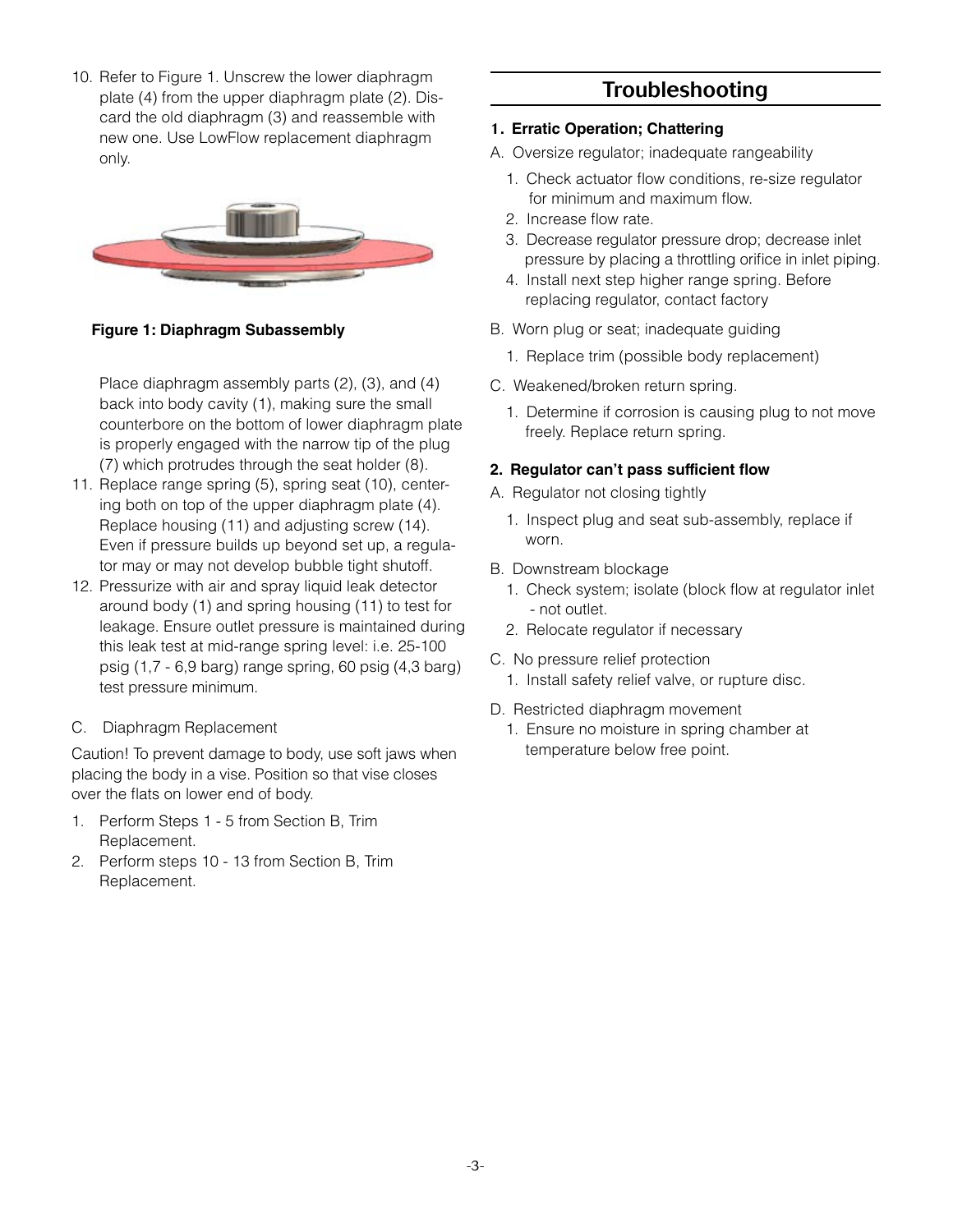10. Refer to Figure 1. Unscrew the lower diaphragm plate (4) from the upper diaphragm plate (2). Discard the old diaphragm (3) and reassemble with new one. Use LowFlow replacement diaphragm only.



**Figure 1: Diaphragm Subassembly**

Place diaphragm assembly parts (2), (3), and (4) back into body cavity (1), making sure the small counterbore on the bottom of lower diaphragm plate is properly engaged with the narrow tip of the plug (7) which protrudes through the seat holder (8).

- 11. Replace range spring (5), spring seat (10), centering both on top of the upper diaphragm plate (4). Replace housing (11) and adjusting screw (14). Even if pressure builds up beyond set up, a regulator may or may not develop bubble tight shutoff.
- 12. Pressurize with air and spray liquid leak detector around body (1) and spring housing (11) to test for leakage. Ensure outlet pressure is maintained during this leak test at mid-range spring level: i.e. 25-100 psig (1,7 - 6,9 barg) range spring, 60 psig (4,3 barg) test pressure minimum.
- C. Diaphragm Replacement

Caution! To prevent damage to body, use soft jaws when placing the body in a vise. Position so that vise closes over the flats on lower end of body.

- 1. Perform Steps 1 5 from Section B, Trim Replacement.
- 2. Perform steps 10 13 from Section B, Trim Replacement.

## Troubleshooting

#### 1**. Erratic Operation; Chattering**

- A. Oversize regulator; inadequate rangeability
	- 1. Check actuator flow conditions, re-size regulator for minimum and maximum flow.
	- 2. Increase flow rate.
	- 3. Decrease regulator pressure drop; decrease inlet pressure by placing a throttling orifice in inlet piping.
	- 4. Install next step higher range spring. Before replacing regulator, contact factory
- B. Worn plug or seat; inadequate guiding
	- 1. Replace trim (possible body replacement)
- C. Weakened/broken return spring.
	- 1. Determine if corrosion is causing plug to not move freely. Replace return spring.

#### **2. Regulator can't pass sufficient flow**

- A. Regulator not closing tightly
	- 1. Inspect plug and seat sub-assembly, replace if worn.
- B. Downstream blockage
	- 1. Check system; isolate (block flow at regulator inlet - not outlet.
	- 2. Relocate regulator if necessary
- C. No pressure relief protection
	- 1. Install safety relief valve, or rupture disc.
- D. Restricted diaphragm movement
	- 1. Ensure no moisture in spring chamber at temperature below free point.